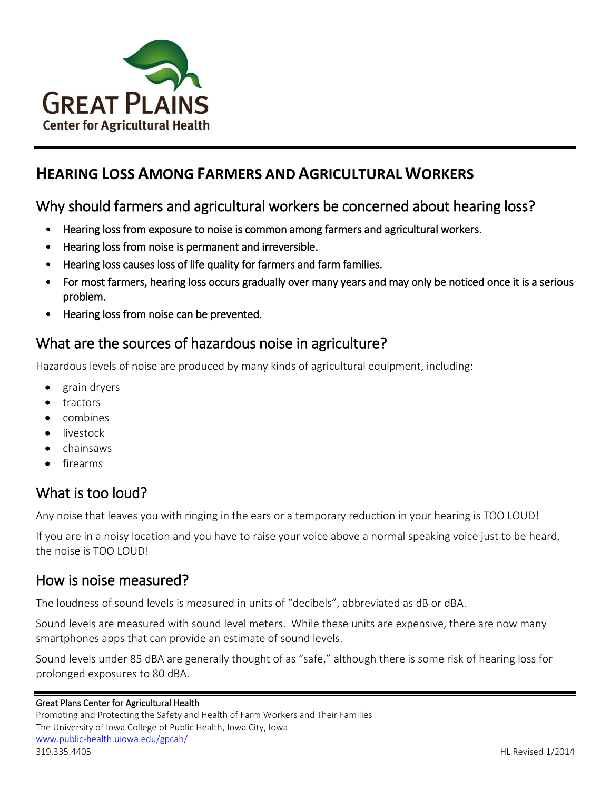

# **HEARING LOSS AMONG FARMERS AND AGRICULTURAL WORKERS**

# Why should farmers and agricultural workers be concerned about hearing loss?

- Hearing loss from exposure to noise is common among farmers and agricultural workers.
- Hearing loss from noise is permanent and irreversible.
- Hearing loss causes loss of life quality for farmers and farm families.
- For most farmers, hearing loss occurs gradually over many years and may only be noticed once it is a serious problem.
- Hearing loss from noise can be prevented.

## What are the sources of hazardous noise in agriculture?

Hazardous levels of noise are produced by many kinds of agricultural equipment, including:

- grain dryers
- **•** tractors
- combines
- livestock
- chainsaws
- firearms

# What is too loud?

Any noise that leaves you with ringing in the ears or a temporary reduction in your hearing is TOO LOUD!

If you are in a noisy location and you have to raise your voice above a normal speaking voice just to be heard, the noise is TOO LOUD!

### How is noise measured?

The loudness of sound levels is measured in units of "decibels", abbreviated as dB or dBA.

Sound levels are measured with sound level meters. While these units are expensive, there are now many smartphones apps that can provide an estimate of sound levels.

Sound levels under 85 dBA are generally thought of as "safe," although there is some risk of hearing loss for prolonged exposures to 80 dBA.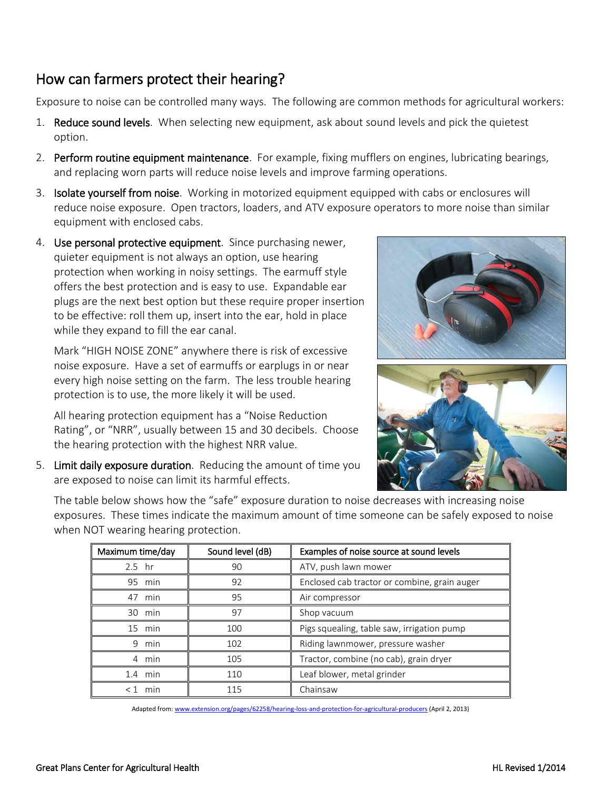## How can farmers protect their hearing?

Exposure to noise can be controlled many ways. The following are common methods for agricultural workers:

- 1. Reduce sound levels. When selecting new equipment, ask about sound levels and pick the quietest option.
- 2. Perform routine equipment maintenance. For example, fixing mufflers on engines, lubricating bearings, and replacing worn parts will reduce noise levels and improve farming operations.
- 3. **Isolate yourself from noise**. Working in motorized equipment equipped with cabs or enclosures will reduce noise exposure. Open tractors, loaders, and ATV exposure operators to more noise than similar equipment with enclosed cabs.
- 4. Use personal protective equipment. Since purchasing newer, quieter equipment is not always an option, use hearing protection when working in noisy settings. The earmuff style offers the best protection and is easy to use. Expandable ear plugs are the next best option but these require proper insertion to be effective: roll them up, insert into the ear, hold in place while they expand to fill the ear canal.

Mark "HIGH NOISE ZONE" anywhere there is risk of excessive noise exposure. Have a set of earmuffs or earplugs in or near every high noise setting on the farm. The less trouble hearing protection is to use, the more likely it will be used.

All hearing protection equipment has a "Noise Reduction Rating", or "NRR", usually between 15 and 30 decibels. Choose the hearing protection with the highest NRR value.

5. Limit daily exposure duration. Reducing the amount of time you are exposed to noise can limit its harmful effects.





The table below shows how the "safe" exposure duration to noise decreases with increasing noise exposures. These times indicate the maximum amount of time someone can be safely exposed to noise when NOT wearing hearing protection.

| Maximum time/day | Sound level (dB) | Examples of noise source at sound levels     |
|------------------|------------------|----------------------------------------------|
| $2.5$ hr         | 90               | ATV, push lawn mower                         |
| 95<br>min        | 92               | Enclosed cab tractor or combine, grain auger |
| 47<br>min        | 95               | Air compressor                               |
| min<br>30        | 97               | Shop vacuum                                  |
| 15<br>min        | 100              | Pigs squealing, table saw, irrigation pump   |
| 9<br>min         | 102              | Riding lawnmower, pressure washer            |
| 4 min            | 105              | Tractor, combine (no cab), grain dryer       |
| 1.4<br>min       | 110              | Leaf blower, metal grinder                   |
| < 1<br>min       | 115              | Chainsaw                                     |

Adapted from[: www.extension.org/pages/62258/hearing-loss-and-protection-for-agricultural-producers](http://www.extension.org/pages/62258/hearing-loss-and-protection-for-agricultural-producers) (April 2, 2013)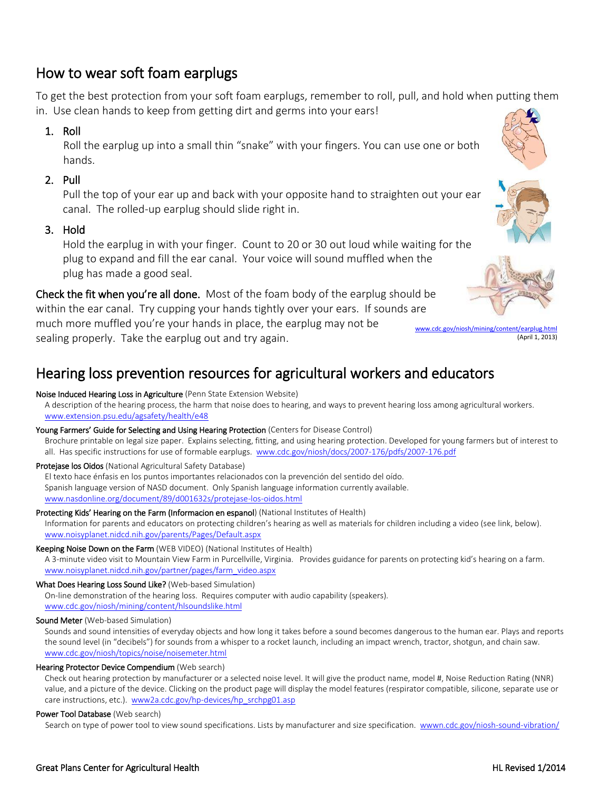### How to wear soft foam earplugs

To get the best protection from your soft foam earplugs, remember to roll, pull, and hold when putting them in. Use clean hands to keep from getting dirt and germs into your ears!

### 1. Roll

Roll the earplug up into a small thin "snake" with your fingers. You can use one or both hands.

### 2. Pull

Pull the top of your ear up and back with your opposite hand to straighten out your ear canal. The rolled-up earplug should slide right in.

### 3. Hold

Hold the earplug in with your finger. Count to 20 or 30 out loud while waiting for the plug to expand and fill the ear canal. Your voice will sound muffled when the plug has made a good seal.

Check the fit when you're all done. Most of the foam body of the earplug should be within the ear canal. Try cupping your hands tightly over your ears. If sounds are much more muffled you're your hands in place, the earplug may not be sealing properly. Take the earplug out and try again.

# Hearing loss prevention resources for agricultural workers and educators

#### Noise Induced Hearing Loss in Agriculture (Penn State Extension Website)

A description of the hearing process, the harm that noise does to hearing, and ways to prevent hearing loss among agricultural workers. [www.extension.psu.edu/agsafety/health/e48](http://www.extension.psu.edu/agsafety/health/e48)

#### Young Farmers' Guide for Selecting and Using Hearing Protection (Centers for Disease Control)

Brochure printable on legal size paper. Explains selecting, fitting, and using hearing protection. Developed for young farmers but of interest to all. Has specific instructions for use of formable earplugs. [www.cdc.gov/niosh/docs/2007-176/pdfs/2007-176.pdf](http://www.cdc.gov/niosh/docs/2007-176/pdfs/2007-176.pdf)

#### Protejase los Oidos (National Agricultural Safety Database)

El texto hace énfasis en los puntos importantes relacionados con la prevención del sentido del oído. Spanish language version of NASD document. Only Spanish language information currently available. [www.nasdonline.org/document/89/d001632s/protejase-los-oidos.html](http://www.nasdonline.org/document/89/d001632s/protejase-los-oidos.html)

### Protecting Kids' Hearing on the Farm (Informacion en espanol) (National Institutes of Health)

Information for parents and educators on protecting children's hearing as well as materials for children including a video (see link, below). [www.noisyplanet.nidcd.nih.gov/parents/Pages/Default.aspx](http://www.noisyplanet.nidcd.nih.gov/parents/Pages/Default.aspx)

#### Keeping Noise Down on the Farm (WEB VIDEO) (National Institutes of Health)

A 3-minute video visit to Mountain View Farm in Purcellville, Virginia. Provides guidance for parents on protecting kid's hearing on a farm. [www.noisyplanet.nidcd.nih.gov/partner/pages/farm\\_video.aspx](http://www.noisyplanet.nidcd.nih.gov/partner/pages/farm_video.aspx)

#### What Does Hearing Loss Sound Like? (Web-based Simulation)

On-line demonstration of the hearing loss. Requires computer with audio capability (speakers). [www.cdc.gov/niosh/mining/content/hlsoundslike.html](http://www.cdc.gov/niosh/mining/content/hlsoundslike.html)

#### Sound Meter (Web-based Simulation)

Sounds and sound intensities of everyday objects and how long it takes before a sound becomes dangerous to the human ear. Plays and reports the sound level (in "decibels") for sounds from a whisper to a rocket launch, including an impact wrench, tractor, shotgun, and chain saw. [www.cdc.gov/niosh/topics/noise/noisemeter.html](http://www.cdc.gov/niosh/topics/noise/noisemeter.html)

#### Hearing Protector Device Compendium (Web search)

Check out hearing protection by manufacturer or a selected noise level. It will give the product name, model #, Noise Reduction Rating (NNR) value, and a picture of the device. Clicking on the product page will display the model features (respirator compatible, silicone, separate use or care instructions, etc.). [www2a.cdc.gov/hp-devices/hp\\_srchpg01.asp](http://www2a.cdc.gov/hp-devices/hp_srchpg01.asp)

#### Power Tool Database (Web search)

Search on type of power tool to view sound specifications. Lists by manufacturer and size specification. [wwwn.cdc.gov/niosh-sound-vibration/](http://wwwn.cdc.gov/niosh-sound-vibration/)





[www.cdc.gov/niosh/mining/content/earplug.html](http://www.cdc.gov/niosh/mining/content/earplug.html) (April 1, 2013)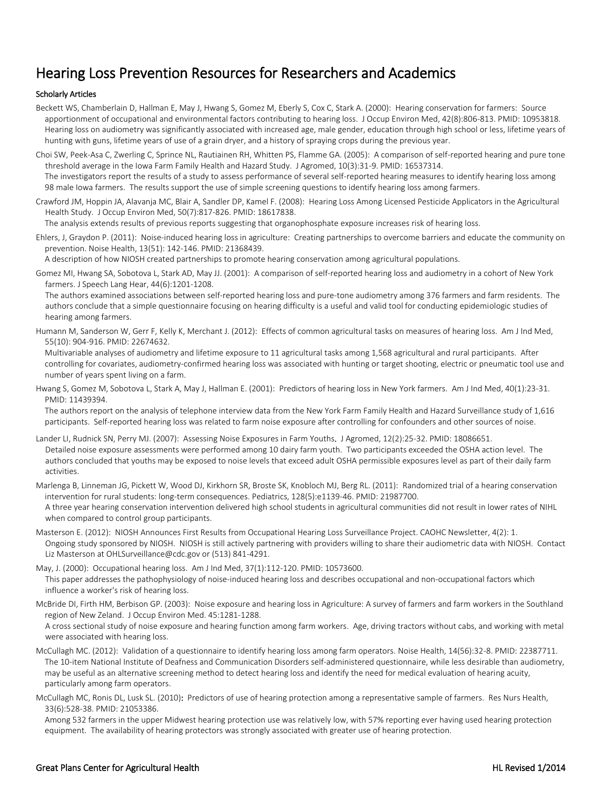# Hearing Loss Prevention Resources for Researchers and Academics

#### Scholarly Articles

- Beckett WS, Chamberlain D, Hallman E, May J, Hwang S, Gomez M, Eberly S, Cox C, Stark A. (2000): Hearing conservation for farmers: Source apportionment of occupational and environmental factors contributing to hearing loss. J Occup Environ Med, 42(8):806-813. PMID: 10953818. Hearing loss on audiometry was significantly associated with increased age, male gender, education through high school or less, lifetime years of hunting with guns, lifetime years of use of a grain dryer, and a history of spraying crops during the previous year.
- Choi SW, Peek-Asa C, Zwerling C, Sprince NL, Rautiainen RH, Whitten PS, Flamme GA. (2005): A comparison of self-reported hearing and pure tone threshold average in the Iowa Farm Family Health and Hazard Study. J Agromed, 10(3):31-9. PMID: 16537314.

The investigators report the results of a study to assess performance of several self-reported hearing measures to identify hearing loss among 98 male Iowa farmers. The results support the use of simple screening questions to identify hearing loss among farmers.

Crawford JM, Hoppin JA, Alavanja MC, Blair A, Sandler DP, Kamel F. (2008): Hearing Loss Among Licensed Pesticide Applicators in the Agricultural Health Study. J Occup Environ Med, 50(7):817-826. PMID: 18617838.

The analysis extends results of previous reports suggesting that organophosphate exposure increases risk of hearing loss.

Ehlers, J, Graydon P. (2011): Noise-induced hearing loss in agriculture: Creating partnerships to overcome barriers and educate the community on prevention. Noise Health, 13(51): 142-146. PMID: 21368439.

A description of how NIOSH created partnerships to promote hearing conservation among agricultural populations.

Gomez MI, Hwang SA, Sobotova L, Stark AD, May JJ. (2001): A comparison of self-reported hearing loss and audiometry in a cohort of New York farmers. J Speech Lang Hear, 44(6):1201-1208.

The authors examined associations between self-reported hearing loss and pure-tone audiometry among 376 farmers and farm residents. The authors conclude that a simple questionnaire focusing on hearing difficulty is a useful and valid tool for conducting epidemiologic studies of hearing among farmers.

Humann M, Sanderson W, Gerr F, Kelly K, Merchant J. (2012): Effects of common agricultural tasks on measures of hearing loss. Am J Ind Med, 55(10): 904-916. PMID: 22674632.

Multivariable analyses of audiometry and lifetime exposure to 11 agricultural tasks among 1,568 agricultural and rural participants. After controlling for covariates, audiometry-confirmed hearing loss was associated with hunting or target shooting, electric or pneumatic tool use and number of years spent living on a farm.

Hwang S, Gomez M, Sobotova L, Stark A, May J, Hallman E. (2001): Predictors of hearing loss in New York farmers. Am J Ind Med, 40(1):23-31. PMID: 11439394.

The authors report on the analysis of telephone interview data from the New York Farm Family Health and Hazard Surveillance study of 1,616 participants. Self-reported hearing loss was related to farm noise exposure after controlling for confounders and other sources of noise.

- Lander LI, Rudnick SN, Perry MJ. (2007): Assessing Noise Exposures in Farm Youths. J Agromed, 12(2):25-32. PMID: 18086651. Detailed noise exposure assessments were performed among 10 dairy farm youth. Two participants exceeded the OSHA action level. The authors concluded that youths may be exposed to noise levels that exceed adult OSHA permissible exposures level as part of their daily farm activities.
- Marlenga B, Linneman JG, Pickett W, Wood DJ, Kirkhorn SR, Broste SK, Knobloch MJ, Berg RL. (2011): Randomized trial of a hearing conservation intervention for rural students: long-term consequences. Pediatrics, 128(5):e1139-46. PMID: 21987700. A three year hearing conservation intervention delivered high school students in agricultural communities did not result in lower rates of NIHL when compared to control group participants.
- Masterson E. (2012): NIOSH Announces First Results from Occupational Hearing Loss Surveillance Project. CAOHC Newsletter, 4(2): 1. Ongoing study sponsored by NIOSH. NIOSH is still actively partnering with providers willing to share their audiometric data with NIOSH. Contact Liz Masterson at OHLSurveillance@cdc.gov or (513) 841-4291.

May, J. (2000): Occupational hearing loss. Am J Ind Med, 37(1):112-120. PMID: 10573600. This paper addresses the pathophysiology of noise-induced hearing loss and describes occupational and non-occupational factors which influence a worker's risk of hearing loss.

McBride DI, Firth HM, Berbison GP. (2003): Noise exposure and hearing loss in Agriculture: A survey of farmers and farm workers in the Southland region of New Zeland. J Occup Environ Med. 45:1281-1288.

A cross sectional study of noise exposure and hearing function among farm workers. Age, driving tractors without cabs, and working with metal were associated with hearing loss.

- McCullagh MC. (2012): Validation of a questionnaire to identify hearing loss among farm operators. Noise Health, 14(56):32-8. PMID: 22387711. The 10-item National Institute of Deafness and Communication Disorders self-administered questionnaire, while less desirable than audiometry, may be useful as an alternative screening method to detect hearing loss and identify the need for medical evaluation of hearing acuity, particularly among farm operators.
- McCullagh MC, Ronis DL, Lusk SL. (2010): Predictors of use of hearing protection among a representative sample of farmers. Res Nurs Health, 33(6):528-38. PMID: 21053386.

Among 532 farmers in the upper Midwest hearing protection use was relatively low, with 57% reporting ever having used hearing protection equipment. The availability of hearing protectors was strongly associated with greater use of hearing protection.